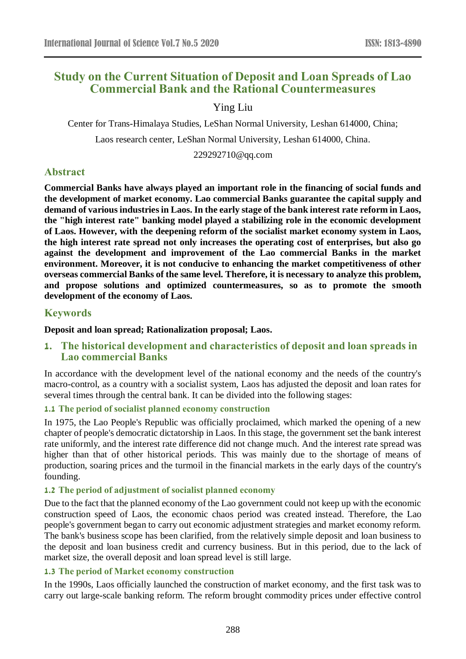# **Study on the Current Situation of Deposit and Loan Spreads of Lao Commercial Bank and the Rational Countermeasures**

## Ying Liu

Center for Trans-Himalaya Studies, LeShan Normal University, Leshan 614000, China;

Laos research center, LeShan Normal University, Leshan 614000, China.

229292710@qq.com

## **Abstract**

**Commercial Banks have always played an important role in the financing of social funds and the development of market economy. Lao commercial Banks guarantee the capital supply and demand of various industries in Laos. In the early stage of the bank interest rate reform in Laos, the "high interest rate" banking model played a stabilizing role in the economic development of Laos. However, with the deepening reform of the socialist market economy system in Laos, the high interest rate spread not only increases the operating cost of enterprises, but also go against the development and improvement of the Lao commercial Banks in the market environment. Moreover, it is not conducive to enhancing the market competitiveness of other overseas commercial Banks of the same level. Therefore, it is necessary to analyze this problem, and propose solutions and optimized countermeasures, so as to promote the smooth development of the economy of Laos.**

## **Keywords**

## **Deposit and loan spread; Rationalization proposal; Laos.**

## **1. The historical development and characteristics of deposit and loan spreads in Lao commercial Banks**

In accordance with the development level of the national economy and the needs of the country's macro-control, as a country with a socialist system, Laos has adjusted the deposit and loan rates for several times through the central bank. It can be divided into the following stages:

#### **1.1 The period of socialist planned economy construction**

In 1975, the Lao People's Republic was officially proclaimed, which marked the opening of a new chapter of people's democratic dictatorship in Laos. In this stage, the government set the bank interest rate uniformly, and the interest rate difference did not change much. And the interest rate spread was higher than that of other historical periods. This was mainly due to the shortage of means of production, soaring prices and the turmoil in the financial markets in the early days of the country's founding.

## **1.2 The period of adjustment of socialist planned economy**

Due to the fact that the planned economy of the Lao government could not keep up with the economic construction speed of Laos, the economic chaos period was created instead. Therefore, the Lao people's government began to carry out economic adjustment strategies and market economy reform. The bank's business scope has been clarified, from the relatively simple deposit and loan business to the deposit and loan business credit and currency business. But in this period, due to the lack of market size, the overall deposit and loan spread level is still large.

## **1.3 The period of Market economy construction**

In the 1990s, Laos officially launched the construction of market economy, and the first task was to carry out large-scale banking reform. The reform brought commodity prices under effective control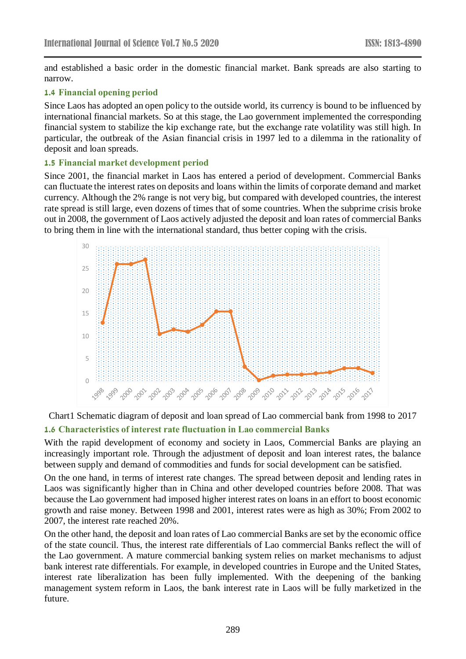and established a basic order in the domestic financial market. Bank spreads are also starting to narrow.

#### **1.4 Financial opening period**

Since Laos has adopted an open policy to the outside world, its currency is bound to be influenced by international financial markets. So at this stage, the Lao government implemented the corresponding financial system to stabilize the kip exchange rate, but the exchange rate volatility was still high. In particular, the outbreak of the Asian financial crisis in 1997 led to a dilemma in the rationality of deposit and loan spreads.

#### **1.5 Financial market development period**

Since 2001, the financial market in Laos has entered a period of development. Commercial Banks can fluctuate the interest rates on deposits and loans within the limits of corporate demand and market currency. Although the 2% range is not very big, but compared with developed countries, the interest rate spread is still large, even dozens of times that of some countries. When the subprime crisis broke out in 2008, the government of Laos actively adjusted the deposit and loan rates of commercial Banks to bring them in line with the international standard, thus better coping with the crisis.





With the rapid development of economy and society in Laos, Commercial Banks are playing an increasingly important role. Through the adjustment of deposit and loan interest rates, the balance between supply and demand of commodities and funds for social development can be satisfied.

On the one hand, in terms of interest rate changes. The spread between deposit and lending rates in Laos was significantly higher than in China and other developed countries before 2008. That was because the Lao government had imposed higher interest rates on loans in an effort to boost economic growth and raise money. Between 1998 and 2001, interest rates were as high as 30%; From 2002 to 2007, the interest rate reached 20%.

On the other hand, the deposit and loan rates of Lao commercial Banks are set by the economic office of the state council. Thus, the interest rate differentials of Lao commercial Banks reflect the will of the Lao government. A mature commercial banking system relies on market mechanisms to adjust bank interest rate differentials. For example, in developed countries in Europe and the United States, interest rate liberalization has been fully implemented. With the deepening of the banking management system reform in Laos, the bank interest rate in Laos will be fully marketized in the future.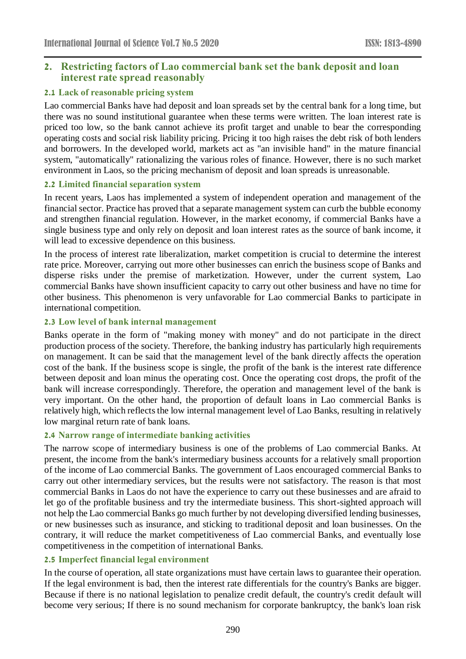## **2. Restricting factors of Lao commercial bank set the bank deposit and loan interest rate spread reasonably**

#### **2.1 Lack of reasonable pricing system**

Lao commercial Banks have had deposit and loan spreads set by the central bank for a long time, but there was no sound institutional guarantee when these terms were written. The loan interest rate is priced too low, so the bank cannot achieve its profit target and unable to bear the corresponding operating costs and social risk liability pricing. Pricing it too high raises the debt risk of both lenders and borrowers. In the developed world, markets act as "an invisible hand" in the mature financial system, "automatically" rationalizing the various roles of finance. However, there is no such market environment in Laos, so the pricing mechanism of deposit and loan spreads is unreasonable.

#### **2.2 Limited financial separation system**

In recent years, Laos has implemented a system of independent operation and management of the financial sector. Practice has proved that a separate management system can curb the bubble economy and strengthen financial regulation. However, in the market economy, if commercial Banks have a single business type and only rely on deposit and loan interest rates as the source of bank income, it will lead to excessive dependence on this business.

In the process of interest rate liberalization, market competition is crucial to determine the interest rate price. Moreover, carrying out more other businesses can enrich the business scope of Banks and disperse risks under the premise of marketization. However, under the current system, Lao commercial Banks have shown insufficient capacity to carry out other business and have no time for other business. This phenomenon is very unfavorable for Lao commercial Banks to participate in international competition.

#### **2.3 Low level of bank internal management**

Banks operate in the form of "making money with money" and do not participate in the direct production process of the society. Therefore, the banking industry has particularly high requirements on management. It can be said that the management level of the bank directly affects the operation cost of the bank. If the business scope is single, the profit of the bank is the interest rate difference between deposit and loan minus the operating cost. Once the operating cost drops, the profit of the bank will increase correspondingly. Therefore, the operation and management level of the bank is very important. On the other hand, the proportion of default loans in Lao commercial Banks is relatively high, which reflects the low internal management level of Lao Banks, resulting in relatively low marginal return rate of bank loans.

## **2.4 Narrow range of intermediate banking activities**

The narrow scope of intermediary business is one of the problems of Lao commercial Banks. At present, the income from the bank's intermediary business accounts for a relatively small proportion of the income of Lao commercial Banks. The government of Laos encouraged commercial Banks to carry out other intermediary services, but the results were not satisfactory. The reason is that most commercial Banks in Laos do not have the experience to carry out these businesses and are afraid to let go of the profitable business and try the intermediate business. This short-sighted approach will not help the Lao commercial Banks go much further by not developing diversified lending businesses, or new businesses such as insurance, and sticking to traditional deposit and loan businesses. On the contrary, it will reduce the market competitiveness of Lao commercial Banks, and eventually lose competitiveness in the competition of international Banks.

## **2.5 Imperfect financial legal environment**

In the course of operation, all state organizations must have certain laws to guarantee their operation. If the legal environment is bad, then the interest rate differentials for the country's Banks are bigger. Because if there is no national legislation to penalize credit default, the country's credit default will become very serious; If there is no sound mechanism for corporate bankruptcy, the bank's loan risk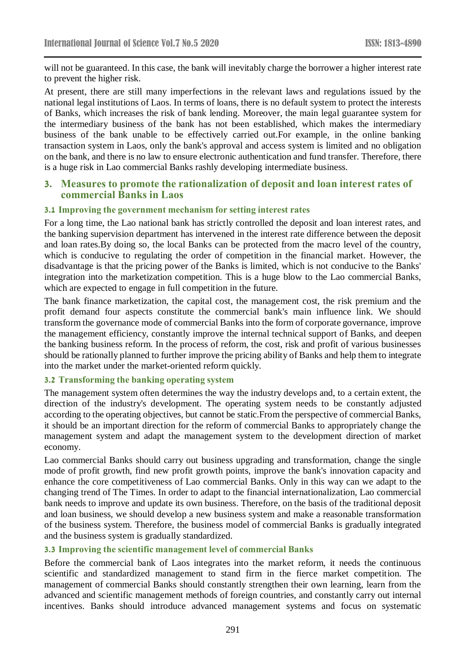will not be guaranteed. In this case, the bank will inevitably charge the borrower a higher interest rate to prevent the higher risk.

At present, there are still many imperfections in the relevant laws and regulations issued by the national legal institutions of Laos. In terms of loans, there is no default system to protect the interests of Banks, which increases the risk of bank lending. Moreover, the main legal guarantee system for the intermediary business of the bank has not been established, which makes the intermediary business of the bank unable to be effectively carried out.For example, in the online banking transaction system in Laos, only the bank's approval and access system is limited and no obligation on the bank, and there is no law to ensure electronic authentication and fund transfer. Therefore, there is a huge risk in Lao commercial Banks rashly developing intermediate business.

#### **3. Measures to promote the rationalization of deposit and loan interest rates of commercial Banks in Laos**

#### **3.1 Improving the government mechanism for setting interest rates**

For a long time, the Lao national bank has strictly controlled the deposit and loan interest rates, and the banking supervision department has intervened in the interest rate difference between the deposit and loan rates.By doing so, the local Banks can be protected from the macro level of the country, which is conducive to regulating the order of competition in the financial market. However, the disadvantage is that the pricing power of the Banks is limited, which is not conducive to the Banks' integration into the marketization competition. This is a huge blow to the Lao commercial Banks, which are expected to engage in full competition in the future.

The bank finance marketization, the capital cost, the management cost, the risk premium and the profit demand four aspects constitute the commercial bank's main influence link. We should transform the governance mode of commercial Banks into the form of corporate governance, improve the management efficiency, constantly improve the internal technical support of Banks, and deepen the banking business reform. In the process of reform, the cost, risk and profit of various businesses should be rationally planned to further improve the pricing ability of Banks and help them to integrate into the market under the market-oriented reform quickly.

#### **3.2 Transforming the banking operating system**

The management system often determines the way the industry develops and, to a certain extent, the direction of the industry's development. The operating system needs to be constantly adjusted according to the operating objectives, but cannot be static.From the perspective of commercial Banks, it should be an important direction for the reform of commercial Banks to appropriately change the management system and adapt the management system to the development direction of market economy.

Lao commercial Banks should carry out business upgrading and transformation, change the single mode of profit growth, find new profit growth points, improve the bank's innovation capacity and enhance the core competitiveness of Lao commercial Banks. Only in this way can we adapt to the changing trend of The Times. In order to adapt to the financial internationalization, Lao commercial bank needs to improve and update its own business. Therefore, on the basis of the traditional deposit and loan business, we should develop a new business system and make a reasonable transformation of the business system. Therefore, the business model of commercial Banks is gradually integrated and the business system is gradually standardized.

#### **3.3 Improving the scientific management level of commercial Banks**

Before the commercial bank of Laos integrates into the market reform, it needs the continuous scientific and standardized management to stand firm in the fierce market competition. The management of commercial Banks should constantly strengthen their own learning, learn from the advanced and scientific management methods of foreign countries, and constantly carry out internal incentives. Banks should introduce advanced management systems and focus on systematic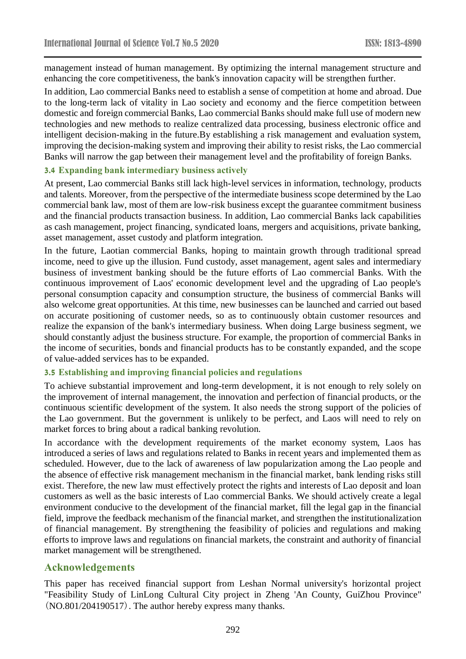management instead of human management. By optimizing the internal management structure and enhancing the core competitiveness, the bank's innovation capacity will be strengthen further.

In addition, Lao commercial Banks need to establish a sense of competition at home and abroad. Due to the long-term lack of vitality in Lao society and economy and the fierce competition between domestic and foreign commercial Banks, Lao commercial Banks should make full use of modern new technologies and new methods to realize centralized data processing, business electronic office and intelligent decision-making in the future.By establishing a risk management and evaluation system, improving the decision-making system and improving their ability to resist risks, the Lao commercial Banks will narrow the gap between their management level and the profitability of foreign Banks.

#### **3.4 Expanding bank intermediary business actively**

At present, Lao commercial Banks still lack high-level services in information, technology, products and talents. Moreover, from the perspective of the intermediate business scope determined by the Lao commercial bank law, most of them are low-risk business except the guarantee commitment business and the financial products transaction business. In addition, Lao commercial Banks lack capabilities as cash management, project financing, syndicated loans, mergers and acquisitions, private banking, asset management, asset custody and platform integration.

In the future, Laotian commercial Banks, hoping to maintain growth through traditional spread income, need to give up the illusion. Fund custody, asset management, agent sales and intermediary business of investment banking should be the future efforts of Lao commercial Banks. With the continuous improvement of Laos' economic development level and the upgrading of Lao people's personal consumption capacity and consumption structure, the business of commercial Banks will also welcome great opportunities. At this time, new businesses can be launched and carried out based on accurate positioning of customer needs, so as to continuously obtain customer resources and realize the expansion of the bank's intermediary business. When doing Large business segment, we should constantly adjust the business structure. For example, the proportion of commercial Banks in the income of securities, bonds and financial products has to be constantly expanded, and the scope of value-added services has to be expanded.

#### **3.5 Establishing and improving financial policies and regulations**

To achieve substantial improvement and long-term development, it is not enough to rely solely on the improvement of internal management, the innovation and perfection of financial products, or the continuous scientific development of the system. It also needs the strong support of the policies of the Lao government. But the government is unlikely to be perfect, and Laos will need to rely on market forces to bring about a radical banking revolution.

In accordance with the development requirements of the market economy system, Laos has introduced a series of laws and regulations related to Banks in recent years and implemented them as scheduled. However, due to the lack of awareness of law popularization among the Lao people and the absence of effective risk management mechanism in the financial market, bank lending risks still exist. Therefore, the new law must effectively protect the rights and interests of Lao deposit and loan customers as well as the basic interests of Lao commercial Banks. We should actively create a legal environment conducive to the development of the financial market, fill the legal gap in the financial field, improve the feedback mechanism of the financial market, and strengthen the institutionalization of financial management. By strengthening the feasibility of policies and regulations and making efforts to improve laws and regulations on financial markets, the constraint and authority of financial market management will be strengthened.

#### **Acknowledgements**

This paper has received financial support from Leshan Normal university's horizontal project "Feasibility Study of LinLong Cultural City project in Zheng 'An County, GuiZhou Province" (NO.801/204190517). The author hereby express many thanks.